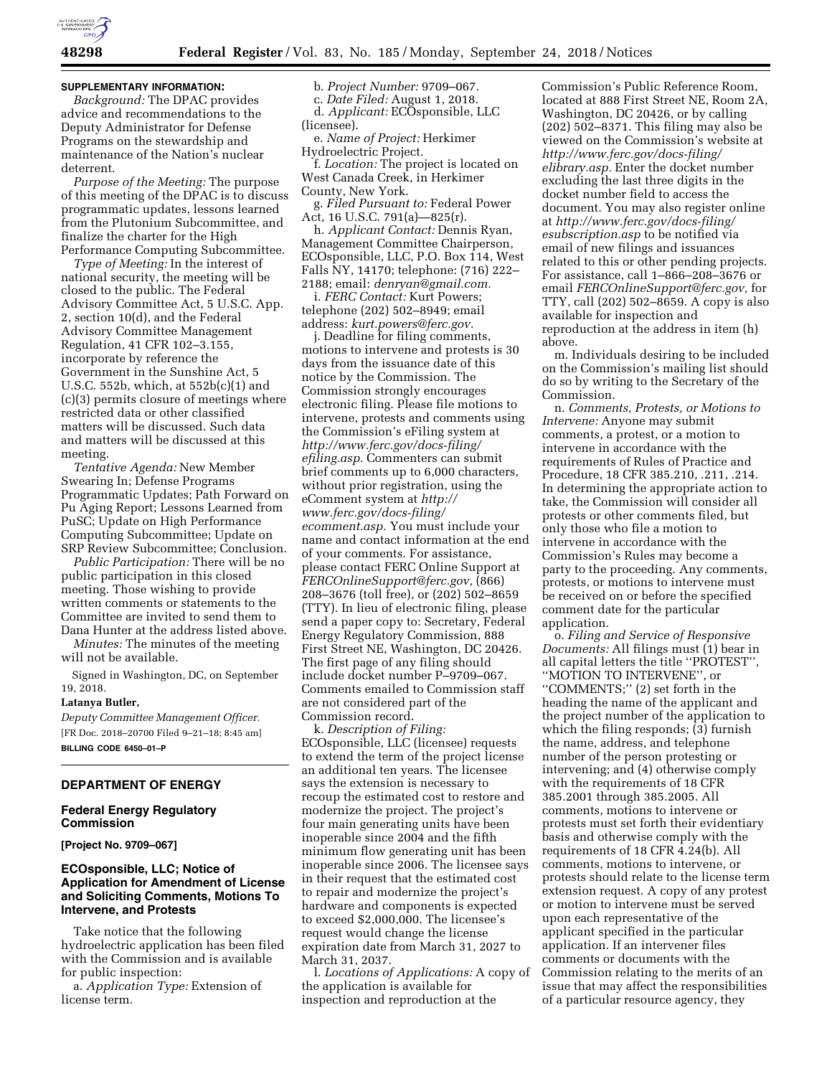

#### **SUPPLEMENTARY INFORMATION:**

*Background:* The DPAC provides advice and recommendations to the Deputy Administrator for Defense Programs on the stewardship and maintenance of the Nation's nuclear deterrent.

*Purpose of the Meeting:* The purpose of this meeting of the DPAC is to discuss programmatic updates, lessons learned from the Plutonium Subcommittee, and finalize the charter for the High Performance Computing Subcommittee.

*Type of Meeting:* In the interest of national security, the meeting will be closed to the public. The Federal Advisory Committee Act, 5 U.S.C. App. 2, section 10(d), and the Federal Advisory Committee Management Regulation, 41 CFR 102–3.155, incorporate by reference the Government in the Sunshine Act, 5 U.S.C. 552b, which, at 552b(c)(1) and (c)(3) permits closure of meetings where restricted data or other classified matters will be discussed. Such data and matters will be discussed at this meeting.

*Tentative Agenda:* New Member Swearing In; Defense Programs Programmatic Updates; Path Forward on Pu Aging Report; Lessons Learned from PuSC; Update on High Performance Computing Subcommittee; Update on SRP Review Subcommittee; Conclusion.

*Public Participation:* There will be no public participation in this closed meeting. Those wishing to provide written comments or statements to the Committee are invited to send them to Dana Hunter at the address listed above.

*Minutes:* The minutes of the meeting will not be available.

Signed in Washington, DC, on September 19, 2018.

#### **Latanya Butler,**

*Deputy Committee Management Officer.*  [FR Doc. 2018–20700 Filed 9–21–18; 8:45 am] **BILLING CODE 6450–01–P** 

## **DEPARTMENT OF ENERGY**

#### **Federal Energy Regulatory Commission**

**[Project No. 9709–067]** 

# **ECOsponsible, LLC; Notice of Application for Amendment of License and Soliciting Comments, Motions To Intervene, and Protests**

Take notice that the following hydroelectric application has been filed with the Commission and is available for public inspection:

a. *Application Type:* Extension of license term.

# b. *Project Number:* 9709–067.

c. *Date Filed:* August 1, 2018. d. *Applicant:* ECOsponsible, LLC (licensee).

e. *Name of Project:* Herkimer Hydroelectric Project.

f. *Location:* The project is located on West Canada Creek, in Herkimer County, New York.

g. *Filed Pursuant to:* Federal Power Act, 16 U.S.C. 791(a)—825(r).

h. *Applicant Contact:* Dennis Ryan, Management Committee Chairperson, ECOsponsible, LLC, P.O. Box 114, West Falls NY, 14170; telephone: (716) 222– 2188; email: *[denryan@gmail.com.](mailto:denryan@gmail.com)* 

i. *FERC Contact:* Kurt Powers; telephone (202) 502–8949; email address: *[kurt.powers@ferc.gov.](mailto:kurt.powers@ferc.gov)* 

j. Deadline for filing comments, motions to intervene and protests is 30 days from the issuance date of this notice by the Commission. The Commission strongly encourages electronic filing. Please file motions to intervene, protests and comments using the Commission's eFiling system at *[http://www.ferc.gov/docs-filing/](http://www.ferc.gov/docs-filing/efiling.asp) [efiling.asp.](http://www.ferc.gov/docs-filing/efiling.asp)* Commenters can submit brief comments up to 6,000 characters, without prior registration, using the eComment system at *[http://](http://www.ferc.gov/docs-filing/ecomment.asp) [www.ferc.gov/docs-filing/](http://www.ferc.gov/docs-filing/ecomment.asp)  [ecomment.asp.](http://www.ferc.gov/docs-filing/ecomment.asp)* You must include your name and contact information at the end of your comments. For assistance, please contact FERC Online Support at *[FERCOnlineSupport@ferc.gov,](mailto:FERCOnlineSupport@ferc.gov)* (866) 208–3676 (toll free), or (202) 502–8659 (TTY). In lieu of electronic filing, please send a paper copy to: Secretary, Federal Energy Regulatory Commission, 888 First Street NE, Washington, DC 20426. The first page of any filing should include docket number P–9709–067. Comments emailed to Commission staff are not considered part of the Commission record.

k. *Description of Filing:*  ECOsponsible, LLC (licensee) requests to extend the term of the project license an additional ten years. The licensee says the extension is necessary to recoup the estimated cost to restore and modernize the project. The project's four main generating units have been inoperable since 2004 and the fifth minimum flow generating unit has been inoperable since 2006. The licensee says in their request that the estimated cost to repair and modernize the project's hardware and components is expected to exceed \$2,000,000. The licensee's request would change the license expiration date from March 31, 2027 to March 31, 2037.

l. *Locations of Applications:* A copy of the application is available for inspection and reproduction at the

Commission's Public Reference Room, located at 888 First Street NE, Room 2A, Washington, DC 20426, or by calling (202) 502–8371. This filing may also be viewed on the Commission's website at *[http://www.ferc.gov/docs-filing/](http://www.ferc.gov/docs-filing/elibrary.asp) [elibrary.asp.](http://www.ferc.gov/docs-filing/elibrary.asp)* Enter the docket number excluding the last three digits in the docket number field to access the document. You may also register online at *[http://www.ferc.gov/docs-filing/](http://www.ferc.gov/docs-filing/esubscription.asp) [esubscription.asp](http://www.ferc.gov/docs-filing/esubscription.asp)* to be notified via email of new filings and issuances related to this or other pending projects. For assistance, call 1–866–208–3676 or email *[FERCOnlineSupport@ferc.gov,](mailto:FERCOnlineSupport@ferc.gov)* for TTY, call (202) 502–8659. A copy is also available for inspection and reproduction at the address in item (h) above.

m. Individuals desiring to be included on the Commission's mailing list should do so by writing to the Secretary of the Commission.

n. *Comments, Protests, or Motions to Intervene:* Anyone may submit comments, a protest, or a motion to intervene in accordance with the requirements of Rules of Practice and Procedure, 18 CFR 385.210, .211, .214. In determining the appropriate action to take, the Commission will consider all protests or other comments filed, but only those who file a motion to intervene in accordance with the Commission's Rules may become a party to the proceeding. Any comments, protests, or motions to intervene must be received on or before the specified comment date for the particular application.

o. *Filing and Service of Responsive Documents:* All filings must (1) bear in all capital letters the title ''PROTEST'', ''MOTION TO INTERVENE'', or ''COMMENTS;'' (2) set forth in the heading the name of the applicant and the project number of the application to which the filing responds; (3) furnish the name, address, and telephone number of the person protesting or intervening; and (4) otherwise comply with the requirements of 18 CFR 385.2001 through 385.2005. All comments, motions to intervene or protests must set forth their evidentiary basis and otherwise comply with the requirements of 18 CFR 4.24(b). All comments, motions to intervene, or protests should relate to the license term extension request. A copy of any protest or motion to intervene must be served upon each representative of the applicant specified in the particular application. If an intervener files comments or documents with the Commission relating to the merits of an issue that may affect the responsibilities of a particular resource agency, they